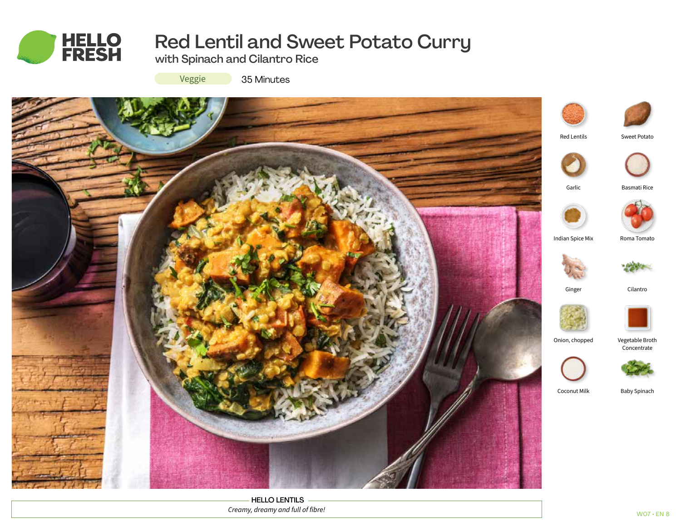

# Red Lentil and Sweet Potato Curry

with Spinach and Cilantro Rice

Veggie

35 Minutes



HELLO LENTILS *Creamy, dreamy and full of fibre!*